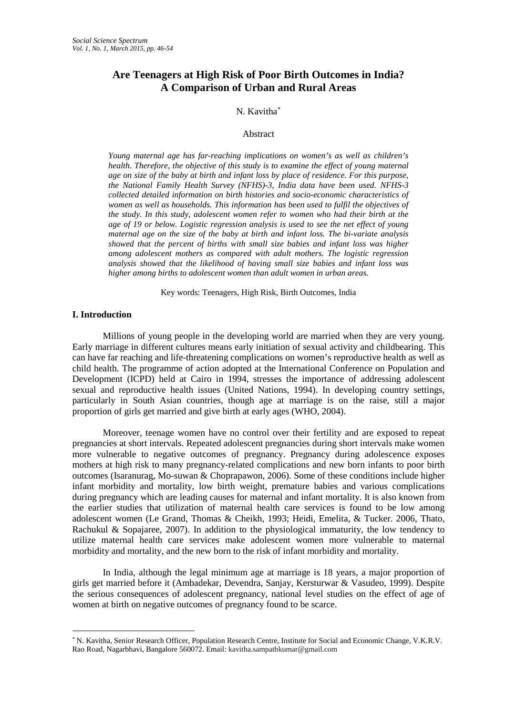# **Are Teenagers at High Risk of Poor Birth Outcomes in India? A Comparison of Urban and Rural Areas**

## N. Kavitha[∗](#page-0-0)

#### Abstract

*Young maternal age has far-reaching implications on women's as well as children's health. Therefore, the objective of this study is to examine the effect of young maternal age on size of the baby at birth and infant loss by place of residence. For this purpose, the National Family Health Survey (NFHS)-3, India data have been used. NFHS-3 collected detailed information on birth histories and socio-economic characteristics of women as well as households. This information has been used to fulfil the objectives of the study. In this study, adolescent women refer to women who had their birth at the age of 19 or below. Logistic regression analysis is used to see the net effect of young maternal age on the size of the baby at birth and infant loss. The bi-variate analysis showed that the percent of births with small size babies and infant loss was higher among adolescent mothers as compared with adult mothers. The logistic regression analysis showed that the likelihood of having small size babies and infant loss was higher among births to adolescent women than adult women in urban areas.*

Key words: Teenagers, High Risk, Birth Outcomes, India

#### **I. Introduction**

-

Millions of young people in the developing world are married when they are very young. Early marriage in different cultures means early initiation of sexual activity and childbearing. This can have far reaching and life-threatening complications on women's reproductive health as well as child health. The programme of action adopted at the International Conference on Population and Development (ICPD) held at Cairo in 1994, stresses the importance of addressing adolescent sexual and reproductive health issues (United Nations, 1994). In developing country settings, particularly in South Asian countries, though age at marriage is on the raise, still a major proportion of girls get married and give birth at early ages (WHO, 2004).

Moreover, teenage women have no control over their fertility and are exposed to repeat pregnancies at short intervals. Repeated adolescent pregnancies during short intervals make women more vulnerable to negative outcomes of pregnancy. Pregnancy during adolescence exposes mothers at high risk to many pregnancy-related complications and new born infants to poor birth outcomes (Isaranurag, Mo-suwan & Choprapawon, 2006). Some of these conditions include higher infant morbidity and mortality, low birth weight, premature babies and various complications during pregnancy which are leading causes for maternal and infant mortality. It is also known from the earlier studies that utilization of maternal health care services is found to be low among adolescent women (Le Grand, Thomas & Cheikh, 1993; Heidi, Emelita, & Tucker. 2006, Thato, Rachukul & Sopajaree, 2007). In addition to the physiological immaturity, the low tendency to utilize maternal health care services make adolescent women more vulnerable to maternal morbidity and mortality, and the new born to the risk of infant morbidity and mortality.

In India, although the legal minimum age at marriage is 18 years, a major proportion of girls get married before it (Ambadekar, Devendra, Sanjay, Kersturwar & Vasudeo, 1999). Despite the serious consequences of adolescent pregnancy, national level studies on the effect of age of women at birth on negative outcomes of pregnancy found to be scarce.

<span id="page-0-0"></span><sup>∗</sup> N. Kavitha, Senior Research Officer, Population Research Centre, Institute for Social and Economic Change, V.K.R.V. Rao Road, Nagarbhavi, Bangalore 560072. Email: kavitha.sampathkumar@gmail.com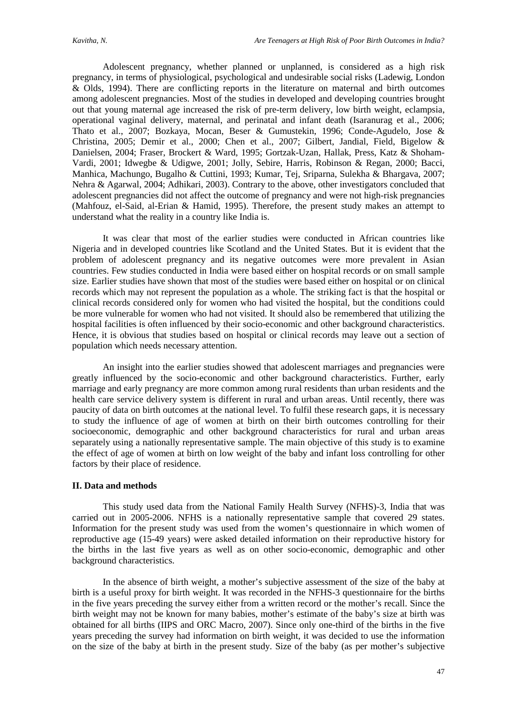Adolescent pregnancy, whether planned or unplanned, is considered as a high risk pregnancy, in terms of physiological, psychological and undesirable social risks (Ladewig, London & Olds, 1994). There are conflicting reports in the literature on maternal and birth outcomes among adolescent pregnancies. Most of the studies in developed and developing countries brought out that young maternal age increased the risk of pre-term delivery, low birth weight, eclampsia, operational vaginal delivery, maternal, and perinatal and infant death (Isaranurag et al., 2006; Thato et al., 2007; Bozkaya, Mocan, Beser & Gumustekin, 1996; Conde-Agudelo, Jose & Christina, 2005; Demir et al., 2000; Chen et al., 2007; Gilbert, Jandial, Field, Bigelow & Danielsen, 2004; Fraser, Brockert & Ward, 1995; Gortzak-Uzan, Hallak, Press, Katz & Shoham-Vardi, 2001; Idwegbe & Udigwe, 2001; Jolly, Sebire, Harris, Robinson & Regan, 2000; Bacci, Manhica, Machungo, Bugalho & Cuttini, 1993; Kumar, Tej, Sriparna, Sulekha & Bhargava, 2007; Nehra & Agarwal, 2004; Adhikari, 2003). Contrary to the above, other investigators concluded that adolescent pregnancies did not affect the outcome of pregnancy and were not high-risk pregnancies (Mahfouz, el-Said, al-Erian & Hamid, 1995). Therefore, the present study makes an attempt to understand what the reality in a country like India is.

It was clear that most of the earlier studies were conducted in African countries like Nigeria and in developed countries like Scotland and the United States. But it is evident that the problem of adolescent pregnancy and its negative outcomes were more prevalent in Asian countries. Few studies conducted in India were based either on hospital records or on small sample size. Earlier studies have shown that most of the studies were based either on hospital or on clinical records which may not represent the population as a whole. The striking fact is that the hospital or clinical records considered only for women who had visited the hospital, but the conditions could be more vulnerable for women who had not visited. It should also be remembered that utilizing the hospital facilities is often influenced by their socio-economic and other background characteristics. Hence, it is obvious that studies based on hospital or clinical records may leave out a section of population which needs necessary attention.

An insight into the earlier studies showed that adolescent marriages and pregnancies were greatly influenced by the socio-economic and other background characteristics. Further, early marriage and early pregnancy are more common among rural residents than urban residents and the health care service delivery system is different in rural and urban areas. Until recently, there was paucity of data on birth outcomes at the national level. To fulfil these research gaps, it is necessary to study the influence of age of women at birth on their birth outcomes controlling for their socioeconomic, demographic and other background characteristics for rural and urban areas separately using a nationally representative sample. The main objective of this study is to examine the effect of age of women at birth on low weight of the baby and infant loss controlling for other factors by their place of residence.

#### **II. Data and methods**

This study used data from the National Family Health Survey (NFHS)-3, India that was carried out in 2005-2006. NFHS is a nationally representative sample that covered 29 states. Information for the present study was used from the women's questionnaire in which women of reproductive age (15-49 years) were asked detailed information on their reproductive history for the births in the last five years as well as on other socio-economic, demographic and other background characteristics.

In the absence of birth weight, a mother's subjective assessment of the size of the baby at birth is a useful proxy for birth weight. It was recorded in the NFHS-3 questionnaire for the births in the five years preceding the survey either from a written record or the mother's recall. Since the birth weight may not be known for many babies, mother's estimate of the baby's size at birth was obtained for all births (IIPS and ORC Macro, 2007). Since only one-third of the births in the five years preceding the survey had information on birth weight, it was decided to use the information on the size of the baby at birth in the present study. Size of the baby (as per mother's subjective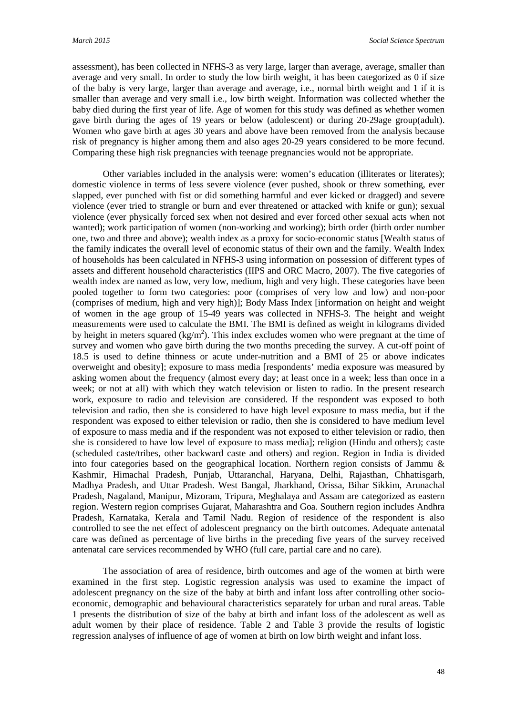assessment), has been collected in NFHS-3 as very large, larger than average, average, smaller than average and very small. In order to study the low birth weight, it has been categorized as 0 if size of the baby is very large, larger than average and average, i.e., normal birth weight and 1 if it is smaller than average and very small i.e., low birth weight. Information was collected whether the baby died during the first year of life. Age of women for this study was defined as whether women gave birth during the ages of 19 years or below (adolescent) or during 20-29age group(adult). Women who gave birth at ages 30 years and above have been removed from the analysis because risk of pregnancy is higher among them and also ages 20-29 years considered to be more fecund. Comparing these high risk pregnancies with teenage pregnancies would not be appropriate.

Other variables included in the analysis were: women's education (illiterates or literates); domestic violence in terms of less severe violence (ever pushed, shook or threw something, ever slapped, ever punched with fist or did something harmful and ever kicked or dragged) and severe violence (ever tried to strangle or burn and ever threatened or attacked with knife or gun); sexual violence (ever physically forced sex when not desired and ever forced other sexual acts when not wanted); work participation of women (non-working and working); birth order (birth order number one, two and three and above); wealth index as a proxy for socio-economic status [Wealth status of the family indicates the overall level of economic status of their own and the family. Wealth Index of households has been calculated in NFHS-3 using information on possession of different types of assets and different household characteristics (IIPS and ORC Macro, 2007). The five categories of wealth index are named as low, very low, medium, high and very high. These categories have been pooled together to form two categories: poor (comprises of very low and low) and non-poor (comprises of medium, high and very high)]; Body Mass Index [information on height and weight of women in the age group of 15-49 years was collected in NFHS-3. The height and weight measurements were used to calculate the BMI. The BMI is defined as weight in kilograms divided by height in meters squared (kg/m<sup>2</sup>). This index excludes women who were pregnant at the time of survey and women who gave birth during the two months preceding the survey. A cut-off point of 18.5 is used to define thinness or acute under-nutrition and a BMI of 25 or above indicates overweight and obesity]; exposure to mass media [respondents' media exposure was measured by asking women about the frequency (almost every day; at least once in a week; less than once in a week; or not at all) with which they watch television or listen to radio. In the present research work, exposure to radio and television are considered. If the respondent was exposed to both television and radio, then she is considered to have high level exposure to mass media, but if the respondent was exposed to either television or radio, then she is considered to have medium level of exposure to mass media and if the respondent was not exposed to either television or radio, then she is considered to have low level of exposure to mass media]; religion (Hindu and others); caste (scheduled caste/tribes, other backward caste and others) and region. Region in India is divided into four categories based on the geographical location. Northern region consists of Jammu & Kashmir, Himachal Pradesh, Punjab, Uttaranchal, Haryana, Delhi, Rajasthan, Chhattisgarh, Madhya Pradesh, and Uttar Pradesh. West Bangal, Jharkhand, Orissa, Bihar Sikkim, Arunachal Pradesh, Nagaland, Manipur, Mizoram, Tripura, Meghalaya and Assam are categorized as eastern region. Western region comprises Gujarat, Maharashtra and Goa. Southern region includes Andhra Pradesh, Karnataka, Kerala and Tamil Nadu. Region of residence of the respondent is also controlled to see the net effect of adolescent pregnancy on the birth outcomes. Adequate antenatal care was defined as percentage of live births in the preceding five years of the survey received antenatal care services recommended by WHO (full care, partial care and no care).

The association of area of residence, birth outcomes and age of the women at birth were examined in the first step. Logistic regression analysis was used to examine the impact of adolescent pregnancy on the size of the baby at birth and infant loss after controlling other socioeconomic, demographic and behavioural characteristics separately for urban and rural areas. Table 1 presents the distribution of size of the baby at birth and infant loss of the adolescent as well as adult women by their place of residence. Table 2 and Table 3 provide the results of logistic regression analyses of influence of age of women at birth on low birth weight and infant loss.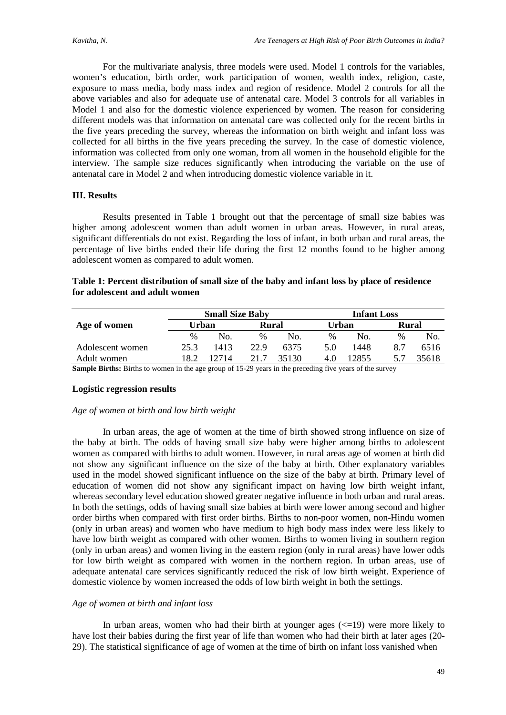For the multivariate analysis, three models were used. Model 1 controls for the variables, women's education, birth order, work participation of women, wealth index, religion, caste, exposure to mass media, body mass index and region of residence. Model 2 controls for all the above variables and also for adequate use of antenatal care. Model 3 controls for all variables in Model 1 and also for the domestic violence experienced by women. The reason for considering different models was that information on antenatal care was collected only for the recent births in the five years preceding the survey, whereas the information on birth weight and infant loss was collected for all births in the five years preceding the survey. In the case of domestic violence, information was collected from only one woman, from all women in the household eligible for the interview. The sample size reduces significantly when introducing the variable on the use of antenatal care in Model 2 and when introducing domestic violence variable in it.

## **III. Results**

Results presented in Table 1 brought out that the percentage of small size babies was higher among adolescent women than adult women in urban areas. However, in rural areas, significant differentials do not exist. Regarding the loss of infant, in both urban and rural areas, the percentage of live births ended their life during the first 12 months found to be higher among adolescent women as compared to adult women.

| Table 1: Percent distribution of small size of the baby and infant loss by place of residence |  |
|-----------------------------------------------------------------------------------------------|--|
| for adolescent and adult women                                                                |  |

|                  |               | <b>Small Size Baby</b> |       |       | <b>Infant Loss</b> |       |       |       |  |  |
|------------------|---------------|------------------------|-------|-------|--------------------|-------|-------|-------|--|--|
| Age of women     | Urban         |                        | Rural |       | Urban              |       | Rural |       |  |  |
|                  | $\frac{0}{0}$ | No.                    | $\%$  | No.   | $\%$               | No.   | $\%$  | No.   |  |  |
| Adolescent women | 25.3          | 1413                   | 22.9  | 6375  | 5.0                | 1448  | 8.7   | 6516  |  |  |
| Adult women      | 18.2          | 12714                  | 217   | 35130 | 4.0                | 12855 | 5.7   | 35618 |  |  |

**Sample Births:** Births to women in the age group of 15-29 years in the preceding five years of the survey

#### **Logistic regression results**

#### *Age of women at birth and low birth weight*

In urban areas, the age of women at the time of birth showed strong influence on size of the baby at birth. The odds of having small size baby were higher among births to adolescent women as compared with births to adult women. However, in rural areas age of women at birth did not show any significant influence on the size of the baby at birth. Other explanatory variables used in the model showed significant influence on the size of the baby at birth. Primary level of education of women did not show any significant impact on having low birth weight infant, whereas secondary level education showed greater negative influence in both urban and rural areas. In both the settings, odds of having small size babies at birth were lower among second and higher order births when compared with first order births. Births to non-poor women, non-Hindu women (only in urban areas) and women who have medium to high body mass index were less likely to have low birth weight as compared with other women. Births to women living in southern region (only in urban areas) and women living in the eastern region (only in rural areas) have lower odds for low birth weight as compared with women in the northern region. In urban areas, use of adequate antenatal care services significantly reduced the risk of low birth weight. Experience of domestic violence by women increased the odds of low birth weight in both the settings.

#### *Age of women at birth and infant loss*

In urban areas, women who had their birth at younger ages  $\ll$  =19) were more likely to have lost their babies during the first year of life than women who had their birth at later ages (20- 29). The statistical significance of age of women at the time of birth on infant loss vanished when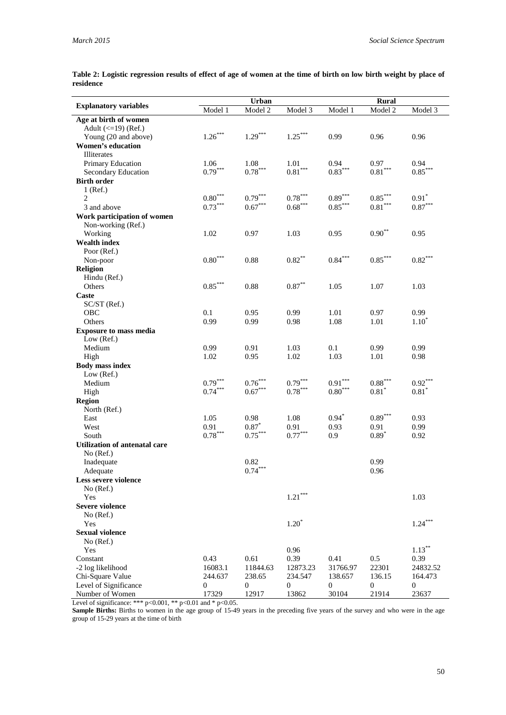| Table 2: Logistic regression results of effect of age of women at the time of birth on low birth weight by place of |  |  |  |  |  |  |  |
|---------------------------------------------------------------------------------------------------------------------|--|--|--|--|--|--|--|
| residence                                                                                                           |  |  |  |  |  |  |  |

|                                    |                        | Urban                  |                       | <b>Rural</b>          |                       |                       |  |  |
|------------------------------------|------------------------|------------------------|-----------------------|-----------------------|-----------------------|-----------------------|--|--|
| <b>Explanatory variables</b>       | Model 1                | Model 2                | Model 3               | Model 1               | Model 2               | Model 3               |  |  |
| Age at birth of women              |                        |                        |                       |                       |                       |                       |  |  |
| Adult $\left(\leq19\right)$ (Ref.) |                        |                        |                       |                       |                       |                       |  |  |
| Young (20 and above)               | $1.26***$              | $1.29***$              | $1.25***$             | 0.99                  | 0.96                  | 0.96                  |  |  |
| <b>Women's education</b>           |                        |                        |                       |                       |                       |                       |  |  |
| Illiterates                        |                        |                        |                       |                       |                       |                       |  |  |
| Primary Education                  | 1.06<br>$0.79***$      | 1.08                   | 1.01                  | 0.94                  | 0.97                  | 0.94                  |  |  |
| Secondary Education                |                        | $0.78^{\ast\ast\ast}$  | $0.81^{\ast\ast\ast}$ | $0.83^{\ast\ast\ast}$ | $0.81^{\ast\ast\ast}$ | $0.85***$             |  |  |
| <b>Birth order</b>                 |                        |                        |                       |                       |                       |                       |  |  |
| $1$ (Ref.)<br>$\overline{2}$       | $0.80***$              | $0.79***$              | $0.78***$             | $0.89^{\ast\ast\ast}$ | $0.85***$             | $0.91*$               |  |  |
| 3 and above                        | $0.73***$              | $0.67***$              | $0.68***$             | $0.85***$             | $0.81***$             | $0.87^{\ast\ast\ast}$ |  |  |
| Work participation of women        |                        |                        |                       |                       |                       |                       |  |  |
| Non-working (Ref.)                 |                        |                        |                       |                       |                       |                       |  |  |
| Working                            | 1.02                   | 0.97                   | 1.03                  | 0.95                  | $0.90^{\ast\ast}$     | 0.95                  |  |  |
| <b>Wealth index</b>                |                        |                        |                       |                       |                       |                       |  |  |
| Poor (Ref.)                        |                        |                        |                       |                       |                       |                       |  |  |
| Non-poor                           | $0.80***$              | 0.88                   | $0.82***$             | $0.84^{\ast\ast\ast}$ | $0.85^{\ast\ast\ast}$ | $0.82***$             |  |  |
| Religion                           |                        |                        |                       |                       |                       |                       |  |  |
| Hindu (Ref.)                       |                        |                        |                       |                       |                       |                       |  |  |
| Others                             | $0.85***$              | 0.88                   | $0.87^{\ast\ast}$     | 1.05                  | 1.07                  | 1.03                  |  |  |
| Caste                              |                        |                        |                       |                       |                       |                       |  |  |
| SC/ST (Ref.)                       |                        |                        |                       |                       |                       |                       |  |  |
| OBC                                | 0.1                    | 0.95                   | 0.99                  | 1.01                  | 0.97                  | 0.99                  |  |  |
| Others                             | 0.99                   | 0.99                   | 0.98                  | 1.08                  | 1.01                  | $1.10*$               |  |  |
| <b>Exposure to mass media</b>      |                        |                        |                       |                       |                       |                       |  |  |
| Low (Ref.)                         |                        |                        |                       |                       |                       |                       |  |  |
| Medium                             | 0.99                   | 0.91                   | 1.03                  | 0.1                   | 0.99                  | 0.99                  |  |  |
| High                               | 1.02                   | 0.95                   | 1.02                  | 1.03                  | 1.01                  | 0.98                  |  |  |
| <b>Body mass index</b>             |                        |                        |                       |                       |                       |                       |  |  |
| Low $(Ref.)$                       |                        |                        |                       |                       |                       |                       |  |  |
| Medium                             | $0.79***$<br>$0.74***$ | $0.76***$<br>$0.67***$ | $0.79***$             | $0.91^{\ast\ast\ast}$ | $0.88^{\ast\ast\ast}$ | $0.92***$             |  |  |
| High                               |                        |                        | $0.78^{\ast\ast\ast}$ | $0.80^{\ast\ast\ast}$ | $0.81*$               | $0.81*$               |  |  |
| <b>Region</b>                      |                        |                        |                       |                       |                       |                       |  |  |
| North (Ref.)<br>East               | 1.05                   | 0.98                   | 1.08                  | $0.94*$               | $0.89***$             | 0.93                  |  |  |
| West                               | 0.91                   | $0.87*$                | 0.91                  | 0.93                  | 0.91                  | 0.99                  |  |  |
| South                              | $0.78^{\ast\ast\ast}$  | $0.75***$              | $0.77***$             | 0.9                   | $0.89*$               | 0.92                  |  |  |
| Utilization of antenatal care      |                        |                        |                       |                       |                       |                       |  |  |
| No (Ref.)                          |                        |                        |                       |                       |                       |                       |  |  |
| Inadequate                         |                        | 0.82                   |                       |                       | 0.99                  |                       |  |  |
| Adequate                           |                        | $0.74***$              |                       |                       | 0.96                  |                       |  |  |
| Less severe violence               |                        |                        |                       |                       |                       |                       |  |  |
| No (Ref.)                          |                        |                        |                       |                       |                       |                       |  |  |
| Yes                                |                        |                        | $1.21***$             |                       |                       | 1.03                  |  |  |
| <b>Severe violence</b>             |                        |                        |                       |                       |                       |                       |  |  |
| No (Ref.)                          |                        |                        |                       |                       |                       |                       |  |  |
| Yes                                |                        |                        | $1.20*$               |                       |                       | $1.24***$             |  |  |
| <b>Sexual violence</b>             |                        |                        |                       |                       |                       |                       |  |  |
| No (Ref.)                          |                        |                        |                       |                       |                       |                       |  |  |
| Yes                                |                        |                        | 0.96                  |                       |                       | $1.13***$             |  |  |
| Constant                           | 0.43                   | 0.61                   | 0.39                  | 0.41                  | 0.5                   | 0.39                  |  |  |
| -2 log likelihood                  | 16083.1                | 11844.63               | 12873.23              | 31766.97              | 22301                 | 24832.52              |  |  |
| Chi-Square Value                   | 244.637                | 238.65                 | 234.547               | 138.657               | 136.15                | 164.473               |  |  |
| Level of Significance              | $\boldsymbol{0}$       | 0                      | 0                     | 0                     | 0                     | 0                     |  |  |
| Number of Women                    | 17329                  | 12917                  | 13862                 | 30104                 | 21914                 | 23637                 |  |  |

Level of significance: \*\*\*  $p<0.001$ , \*\*  $p<0.01$  and \*  $p<0.05$ .

Sample Births: Births to women in the age group of 15-49 years in the preceding five years of the survey and who were in the age group of 15-29 years at the time of birth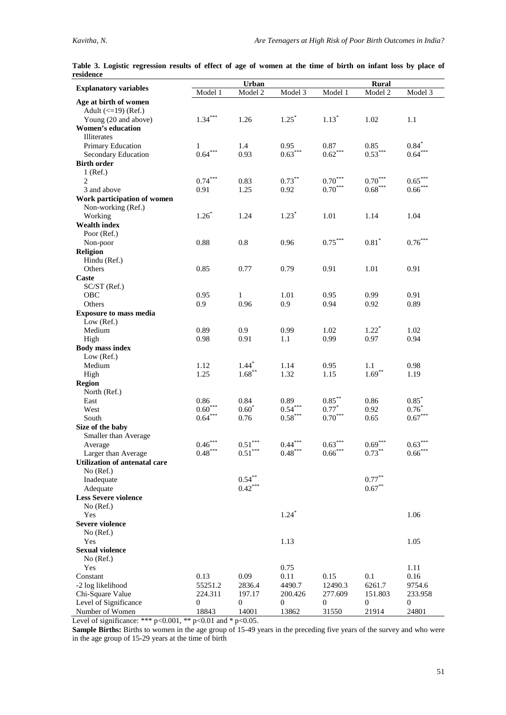| ı esiucilce                        |                  |                       |                     |                       |                       |                       |
|------------------------------------|------------------|-----------------------|---------------------|-----------------------|-----------------------|-----------------------|
| <b>Explanatory variables</b>       | Model 1          | Urban<br>Model 2      | Model 3             | Model 1               | Rural<br>Model 2      | Model 3               |
| Age at birth of women              |                  |                       |                     |                       |                       |                       |
| Adult $\left(\leq19\right)$ (Ref.) |                  |                       |                     |                       |                       |                       |
| Young (20 and above)               | $1.34***$        | 1.26                  | $1.25*$             | $1.13*$               | 1.02                  | 1.1                   |
| <b>Women's education</b>           |                  |                       |                     |                       |                       |                       |
| <b>Illiterates</b>                 |                  |                       |                     |                       |                       |                       |
| Primary Education                  | $\mathbf{1}$     | 1.4                   | 0.95                | 0.87                  | 0.85                  | $0.84*$               |
| Secondary Education                | $0.64***$        | 0.93                  | $0.63***$           | $0.62\sp{***}$        | $0.53***$             | $0.64***$             |
| <b>Birth order</b>                 |                  |                       |                     |                       |                       |                       |
| $1$ (Ref.)                         |                  |                       |                     |                       |                       |                       |
| 2                                  | $0.74***$        | 0.83                  | $0.73***$           | $0.70***$             | $0.70***$             | $0.65***$             |
| 3 and above                        | 0.91             | 1.25                  | 0.92                | $0.70^{\ast\ast\ast}$ | $0.68^{\ast\ast\ast}$ | $0.66***$             |
| Work participation of women        |                  |                       |                     |                       |                       |                       |
| Non-working (Ref.)                 |                  |                       |                     |                       |                       |                       |
| Working                            | $1.26*$          | 1.24                  | $1.23*$             | 1.01                  | 1.14                  | 1.04                  |
| <b>Wealth index</b>                |                  |                       |                     |                       |                       |                       |
| Poor (Ref.)                        |                  |                       |                     |                       |                       |                       |
| Non-poor                           | 0.88             | 0.8                   | 0.96                | $0.75***$             | $0.81*$               | $0.76^{\ast\ast\ast}$ |
| Religion                           |                  |                       |                     |                       |                       |                       |
| Hindu (Ref.)                       |                  |                       |                     |                       |                       |                       |
| Others                             | 0.85             | 0.77                  | 0.79                | 0.91                  | 1.01                  | 0.91                  |
| Caste                              |                  |                       |                     |                       |                       |                       |
| SC/ST (Ref.)<br>OBC                | 0.95             |                       | 1.01                | 0.95                  | 0.99                  | 0.91                  |
| Others                             | 0.9              | 1<br>0.96             | 0.9                 | 0.94                  | 0.92                  | 0.89                  |
| <b>Exposure to mass media</b>      |                  |                       |                     |                       |                       |                       |
| Low (Ref.)                         |                  |                       |                     |                       |                       |                       |
| Medium                             | 0.89             | 0.9                   | 0.99                | 1.02                  | $1.22^*$              | 1.02                  |
| High                               | 0.98             | 0.91                  | 1.1                 | 0.99                  | 0.97                  | 0.94                  |
| <b>Body mass index</b>             |                  |                       |                     |                       |                       |                       |
| Low (Ref.)                         |                  |                       |                     |                       |                       |                       |
| Medium                             | 1.12             | $1.44*$               | 1.14                | 0.95                  | 1.1                   | 0.98                  |
| High                               | 1.25             | $1.68***$             | 1.32                | 1.15                  | $1.69***$             | 1.19                  |
| <b>Region</b>                      |                  |                       |                     |                       |                       |                       |
| North (Ref.)                       |                  |                       |                     |                       |                       |                       |
| East                               | 0.86             | 0.84                  | 0.89                | $0.85***$             | 0.86                  | $0.85*$               |
| West                               | $0.60***$        | $0.60*$               | $0.54***$           | $0.77*$               | 0.92                  | $0.76*$               |
| South                              | $0.64***$        | 0.76                  | $0.58***$           | $0.70***$             | 0.65                  | $0.67***$             |
| Size of the baby                   |                  |                       |                     |                       |                       |                       |
| Smaller than Average               |                  |                       |                     |                       |                       |                       |
| Average                            | $0.46***$        | $0.51***$             | $0.44***$           | $0.63***$             | $0.69***$             | $0.63***$             |
| Larger than Average                | $0.48***$        | $0.51^{\ast\ast\ast}$ | $0.48***$           | $0.66^{***}$          | $0.73^{\ast\ast}$     | $0.66***$             |
| Utilization of antenatal care      |                  |                       |                     |                       |                       |                       |
| No (Ref.)                          |                  | $0.54***$             |                     |                       | $0.77***$             |                       |
| Inadequate                         |                  | $0.42***$             |                     |                       | $0.67***$             |                       |
| Adequate                           |                  |                       |                     |                       |                       |                       |
| <b>Less Severe violence</b>        |                  |                       |                     |                       |                       |                       |
| No (Ref.)<br>Yes                   |                  |                       | $1.24$ <sup>*</sup> |                       |                       | 1.06                  |
| Severe violence                    |                  |                       |                     |                       |                       |                       |
| No (Ref.)                          |                  |                       |                     |                       |                       |                       |
| Yes                                |                  |                       | 1.13                |                       |                       | 1.05                  |
| <b>Sexual violence</b>             |                  |                       |                     |                       |                       |                       |
| No (Ref.)                          |                  |                       |                     |                       |                       |                       |
| Yes                                |                  |                       | 0.75                |                       |                       | 1.11                  |
| Constant                           | 0.13             | 0.09                  | 0.11                | 0.15                  | 0.1                   | 0.16                  |
| -2 log likelihood                  | 55251.2          | 2836.4                | 4490.7              | 12490.3               | 6261.7                | 9754.6                |
| Chi-Square Value                   | 224.311          | 197.17                | 200.426             | 277.609               | 151.803               | 233.958               |
| Level of Significance              | $\boldsymbol{0}$ | 0                     | $\boldsymbol{0}$    | $\boldsymbol{0}$      | $\boldsymbol{0}$      | $\boldsymbol{0}$      |
| Number of Women                    | 18843            | 14001                 | 13862               | 31550                 | 21914                 | 24801                 |

Table 3. Logistic regression results of effect of age of women at the time of birth on infant loss by place of **residence**

Level of significance: \*\*\*  $p<0.001$ , \*\*  $p<0.01$  and \*  $p<0.05$ .

**Sample Births:** Births to women in the age group of 15-49 years in the preceding five years of the survey and who were in the age group of 15-29 years at the time of birth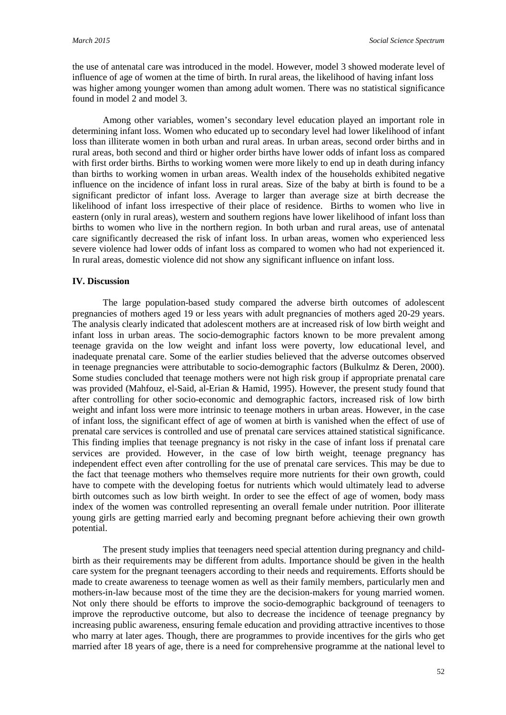the use of antenatal care was introduced in the model. However, model 3 showed moderate level of influence of age of women at the time of birth. In rural areas, the likelihood of having infant loss was higher among younger women than among adult women. There was no statistical significance found in model 2 and model 3.

Among other variables, women's secondary level education played an important role in determining infant loss. Women who educated up to secondary level had lower likelihood of infant loss than illiterate women in both urban and rural areas. In urban areas, second order births and in rural areas, both second and third or higher order births have lower odds of infant loss as compared with first order births. Births to working women were more likely to end up in death during infancy than births to working women in urban areas. Wealth index of the households exhibited negative influence on the incidence of infant loss in rural areas. Size of the baby at birth is found to be a significant predictor of infant loss. Average to larger than average size at birth decrease the likelihood of infant loss irrespective of their place of residence. Births to women who live in eastern (only in rural areas), western and southern regions have lower likelihood of infant loss than births to women who live in the northern region. In both urban and rural areas, use of antenatal care significantly decreased the risk of infant loss. In urban areas, women who experienced less severe violence had lower odds of infant loss as compared to women who had not experienced it. In rural areas, domestic violence did not show any significant influence on infant loss.

## **IV. Discussion**

The large population-based study compared the adverse birth outcomes of adolescent pregnancies of mothers aged 19 or less years with adult pregnancies of mothers aged 20-29 years. The analysis clearly indicated that adolescent mothers are at increased risk of low birth weight and infant loss in urban areas. The socio-demographic factors known to be more prevalent among teenage gravida on the low weight and infant loss were poverty, low educational level, and inadequate prenatal care. Some of the earlier studies believed that the adverse outcomes observed in teenage pregnancies were attributable to socio-demographic factors (Bulkulmz & Deren, 2000). Some studies concluded that teenage mothers were not high risk group if appropriate prenatal care was provided (Mahfouz, el-Said, al-Erian & Hamid, 1995). However, the present study found that after controlling for other socio-economic and demographic factors, increased risk of low birth weight and infant loss were more intrinsic to teenage mothers in urban areas. However, in the case of infant loss, the significant effect of age of women at birth is vanished when the effect of use of prenatal care services is controlled and use of prenatal care services attained statistical significance. This finding implies that teenage pregnancy is not risky in the case of infant loss if prenatal care services are provided. However, in the case of low birth weight, teenage pregnancy has independent effect even after controlling for the use of prenatal care services. This may be due to the fact that teenage mothers who themselves require more nutrients for their own growth, could have to compete with the developing foetus for nutrients which would ultimately lead to adverse birth outcomes such as low birth weight. In order to see the effect of age of women, body mass index of the women was controlled representing an overall female under nutrition. Poor illiterate young girls are getting married early and becoming pregnant before achieving their own growth potential.

The present study implies that teenagers need special attention during pregnancy and childbirth as their requirements may be different from adults. Importance should be given in the health care system for the pregnant teenagers according to their needs and requirements. Efforts should be made to create awareness to teenage women as well as their family members, particularly men and mothers-in-law because most of the time they are the decision-makers for young married women. Not only there should be efforts to improve the socio-demographic background of teenagers to improve the reproductive outcome, but also to decrease the incidence of teenage pregnancy by increasing public awareness, ensuring female education and providing attractive incentives to those who marry at later ages. Though, there are programmes to provide incentives for the girls who get married after 18 years of age, there is a need for comprehensive programme at the national level to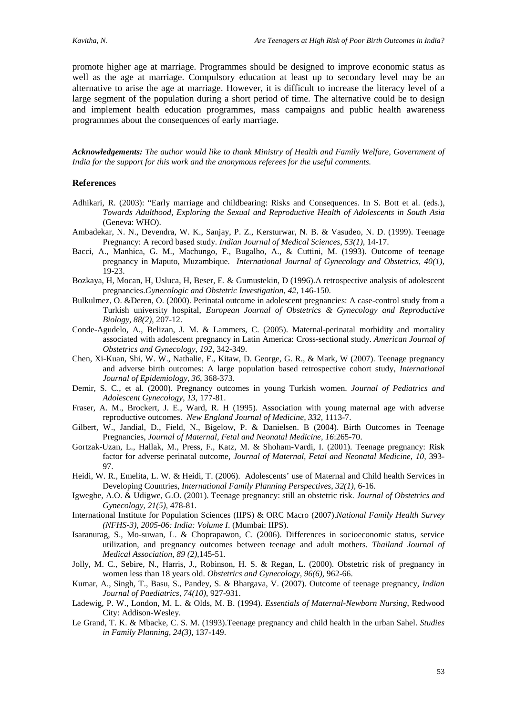promote higher age at marriage. Programmes should be designed to improve economic status as well as the age at marriage. Compulsory education at least up to secondary level may be an alternative to arise the age at marriage. However, it is difficult to increase the literacy level of a large segment of the population during a short period of time. The alternative could be to design and implement health education programmes, mass campaigns and public health awareness programmes about the consequences of early marriage.

*Acknowledgements: The author would like to thank Ministry of Health and Family Welfare, Government of India for the support for this work and the anonymous referees for the useful comments.*

#### **References**

- Adhikari, R. (2003): "Early marriage and childbearing: Risks and Consequences. In S. Bott et al. (eds.), *Towards Adulthood, Exploring the Sexual and Reproductive Health of Adolescents in South Asia*  (Geneva: WHO).
- Ambadekar, N. N., Devendra, W. K., Sanjay, P. Z., Kersturwar, N. B. & Vasudeo, N. D. (1999). Teenage Pregnancy: A record based study. *Indian Journal of Medical Sciences, 53(1),* 14-17.
- Bacci, A., Manhica, G. M., Machungo, F., Bugalho, A., & Cuttini, M. (1993). Outcome of teenage pregnancy in Maputo, Muzambique. *International Journal of Gynecology and Obstetrics, 40(1),*  19-23.
- Bozkaya, H, Mocan, H, Usluca, H, Beser, E. & Gumustekin, D (1996).A retrospective analysis of adolescent pregnancies.*Gynecologic and Obstetric Investigation*, *42*, 146-150.
- Bulkulmez, O. &Deren, O. (2000). Perinatal outcome in adolescent pregnancies: A case-control study from a Turkish university hospital, *European Journal of Obstetrics & Gynecology and Reproductive Biology, 88(2),* 207-12.
- Conde-Agudelo, A., Belizan, J. M. & Lammers, C. (2005). Maternal-perinatal morbidity and mortality associated with adolescent pregnancy in Latin America: Cross-sectional study. *American Journal of Obstetrics and Gynecology*, *192,* 342-349.
- Chen, Xi-Kuan, Shi, W. W., Nathalie, F., Kitaw, D. George, G. R., & Mark, W (2007). Teenage pregnancy and adverse birth outcomes: A large population based retrospective cohort study, *International Journal of Epidemiology*, *36*, 368-373.
- Demir, S. C., et al. (2000). Pregnancy outcomes in young Turkish women. *Journal of Pediatrics and Adolescent Gynecology*, *13,* 177-81.
- Fraser, A. M., Brockert, J. E., Ward, R. H (1995). Association with young maternal age with adverse reproductive outcomes. *New England Journal of Medicine, 332,* 1113-7.
- Gilbert, W., Jandial, D., Field, N., Bigelow, P. & Danielsen. B (2004). Birth Outcomes in Teenage Pregnancies, *Journal of Maternal, Fetal and Neonatal Medicine, 16*:265-70.
- Gortzak-Uzan, L., Hallak, M., Press, F., Katz, M. & Shoham-Vardi, I. (2001). Teenage pregnancy: Risk factor for adverse perinatal outcome, *Journal of Maternal, Fetal and Neonatal Medicine, 10,* 393- 97.
- Heidi, W. R., Emelita, L. W. & Heidi, T. (2006). Adolescents' use of Maternal and Child health Services in Developing Countries, *International Family Planning Perspectives*, *32(1),* 6-16.
- Igwegbe, A.O. & Udigwe, G.O. (2001). Teenage pregnancy: still an obstetric risk. *Journal of Obstetrics and Gynecology, 21(5),* 478-81.
- International Institute for Population Sciences (IIPS) & ORC Macro (2007).*National Family Health Survey (NFHS-3), 2005-06: India: Volume I*. (Mumbai: IIPS).
- Isaranurag, S., Mo-suwan, L. & Choprapawon, C. (2006). Differences in socioeconomic status, service utilization, and pregnancy outcomes between teenage and adult mothers. *Thailand Journal of Medical Association*, *89 (2),*145-51.
- Jolly, M. C., Sebire, N., Harris, J., Robinson, H. S. & Regan, L. (2000). Obstetric risk of pregnancy in women less than 18 years old. *Obstetrics and Gynecology, 96(6),* 962-66.
- Kumar, A., Singh, T., Basu, S., Pandey, S. & Bhargava, V. (2007). Outcome of teenage pregnancy, *Indian Journal of Paediatrics, 74(10),* 927-931.
- Ladewig, P. W., London, M. L. & Olds, M. B. (1994). *Essentials of Maternal-Newborn Nursing*, Redwood City: Addison-Wesley.
- Le Grand, T. K. & Mbacke, C. S. M. (1993).Teenage pregnancy and child health in the urban Sahel. *Studies in Family Planning, 24(3),* 137-149.